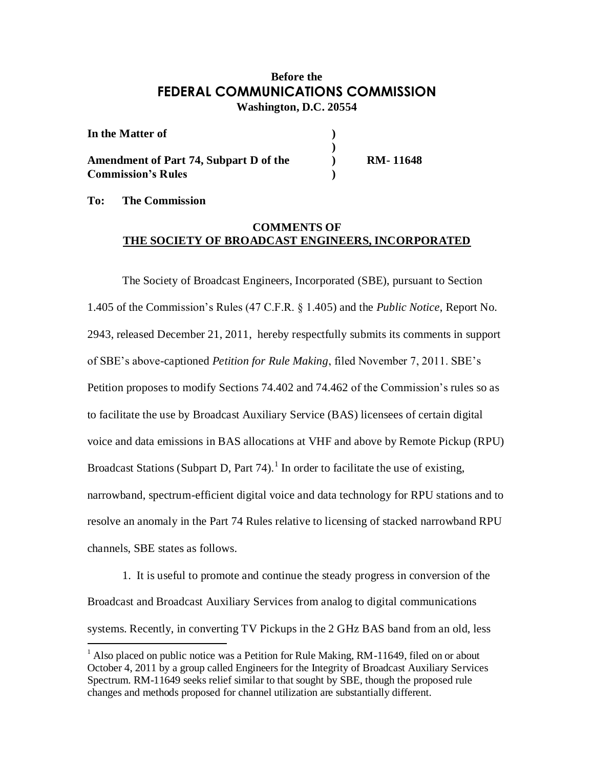## **Before the FEDERAL COMMUNICATIONS COMMISSION Washington, D.C. 20554**

| In the Matter of                              |                 |
|-----------------------------------------------|-----------------|
| <b>Amendment of Part 74, Subpart D of the</b> | <b>RM-11648</b> |
| <b>Commission's Rules</b>                     |                 |

**To: The Commission**

## **COMMENTS OF THE SOCIETY OF BROADCAST ENGINEERS, INCORPORATED**

The Society of Broadcast Engineers, Incorporated (SBE), pursuant to Section 1.405 of the Commission's Rules (47 C.F.R. § 1.405) and the *Public Notice*, Report No. 2943, released December 21, 2011, hereby respectfully submits its comments in support of SBE's above-captioned *Petition for Rule Making*, filed November 7, 2011. SBE's Petition proposes to modify Sections 74.402 and 74.462 of the Commission's rules so as to facilitate the use by Broadcast Auxiliary Service (BAS) licensees of certain digital voice and data emissions in BAS allocations at VHF and above by Remote Pickup (RPU) Broadcast Stations (Subpart D, Part 74).<sup>1</sup> In order to facilitate the use of existing, narrowband, spectrum-efficient digital voice and data technology for RPU stations and to resolve an anomaly in the Part 74 Rules relative to licensing of stacked narrowband RPU channels, SBE states as follows.

1. It is useful to promote and continue the steady progress in conversion of the Broadcast and Broadcast Auxiliary Services from analog to digital communications systems. Recently, in converting TV Pickups in the 2 GHz BAS band from an old, less

<sup>&</sup>lt;sup>1</sup> Also placed on public notice was a Petition for Rule Making, RM-11649, filed on or about October 4, 2011 by a group called Engineers for the Integrity of Broadcast Auxiliary Services Spectrum. RM-11649 seeks relief similar to that sought by SBE, though the proposed rule changes and methods proposed for channel utilization are substantially different.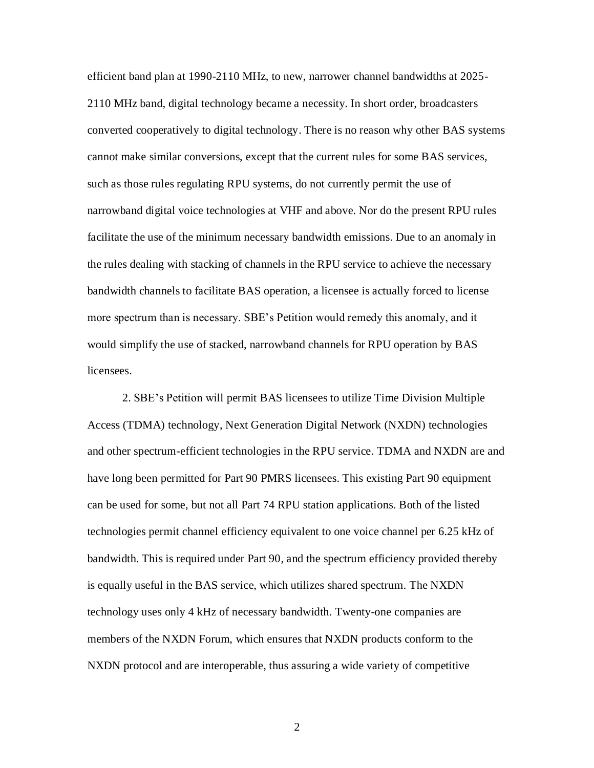efficient band plan at 1990-2110 MHz, to new, narrower channel bandwidths at 2025- 2110 MHz band, digital technology became a necessity. In short order, broadcasters converted cooperatively to digital technology. There is no reason why other BAS systems cannot make similar conversions, except that the current rules for some BAS services, such as those rules regulating RPU systems, do not currently permit the use of narrowband digital voice technologies at VHF and above. Nor do the present RPU rules facilitate the use of the minimum necessary bandwidth emissions. Due to an anomaly in the rules dealing with stacking of channels in the RPU service to achieve the necessary bandwidth channels to facilitate BAS operation, a licensee is actually forced to license more spectrum than is necessary. SBE's Petition would remedy this anomaly, and it would simplify the use of stacked, narrowband channels for RPU operation by BAS licensees.

2. SBE's Petition will permit BAS licensees to utilize Time Division Multiple Access (TDMA) technology, Next Generation Digital Network (NXDN) technologies and other spectrum-efficient technologies in the RPU service. TDMA and NXDN are and have long been permitted for Part 90 PMRS licensees. This existing Part 90 equipment can be used for some, but not all Part 74 RPU station applications. Both of the listed technologies permit channel efficiency equivalent to one voice channel per 6.25 kHz of bandwidth. This is required under Part 90, and the spectrum efficiency provided thereby is equally useful in the BAS service, which utilizes shared spectrum. The NXDN technology uses only 4 kHz of necessary bandwidth. Twenty-one companies are members of the NXDN Forum, which ensures that NXDN products conform to the NXDN protocol and are interoperable, thus assuring a wide variety of competitive

2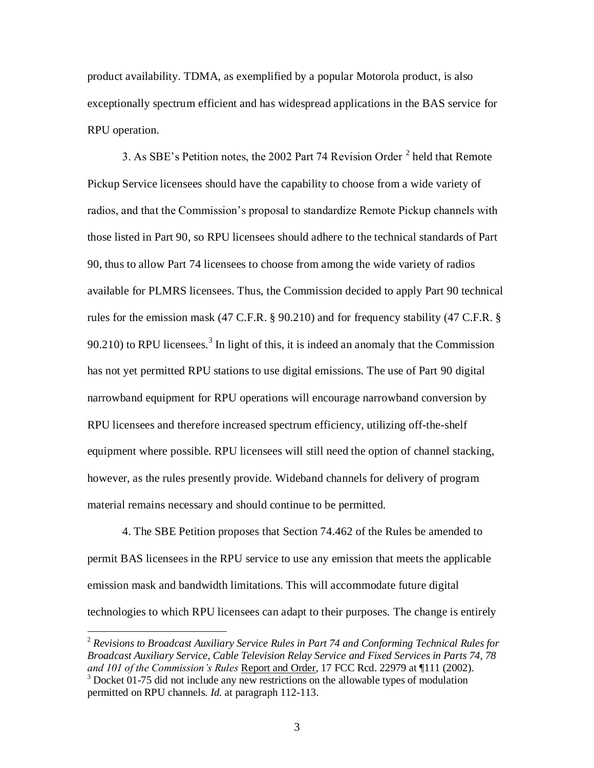product availability. TDMA, as exemplified by a popular Motorola product, is also exceptionally spectrum efficient and has widespread applications in the BAS service for RPU operation.

3. As SBE's Petition notes, the 2002 Part 74 Revision Order  $2$  held that Remote Pickup Service licensees should have the capability to choose from a wide variety of radios, and that the Commission's proposal to standardize Remote Pickup channels with those listed in Part 90, so RPU licensees should adhere to the technical standards of Part 90, thus to allow Part 74 licensees to choose from among the wide variety of radios available for PLMRS licensees. Thus, the Commission decided to apply Part 90 technical rules for the emission mask (47 C.F.R. § 90.210) and for frequency stability (47 C.F.R. § 90.210) to RPU licensees.<sup>3</sup> In light of this, it is indeed an anomaly that the Commission has not yet permitted RPU stations to use digital emissions. The use of Part 90 digital narrowband equipment for RPU operations will encourage narrowband conversion by RPU licensees and therefore increased spectrum efficiency, utilizing off-the-shelf equipment where possible. RPU licensees will still need the option of channel stacking, however, as the rules presently provide. Wideband channels for delivery of program material remains necessary and should continue to be permitted.

4. The SBE Petition proposes that Section 74.462 of the Rules be amended to permit BAS licensees in the RPU service to use any emission that meets the applicable emission mask and bandwidth limitations. This will accommodate future digital technologies to which RPU licensees can adapt to their purposes. The change is entirely

 $\overline{a}$ 

<sup>2</sup> *Revisions to Broadcast Auxiliary Service Rules in Part 74 and Conforming Technical Rules for Broadcast Auxiliary Service, Cable Television Relay Service and Fixed Services in Parts 74, 78 and 101 of the Commission's Rules* Report and Order, 17 FCC Rcd. 22979 at ¶111 (2002).  $3$  Docket 01-75 did not include any new restrictions on the allowable types of modulation

permitted on RPU channels. *Id.* at paragraph 112-113.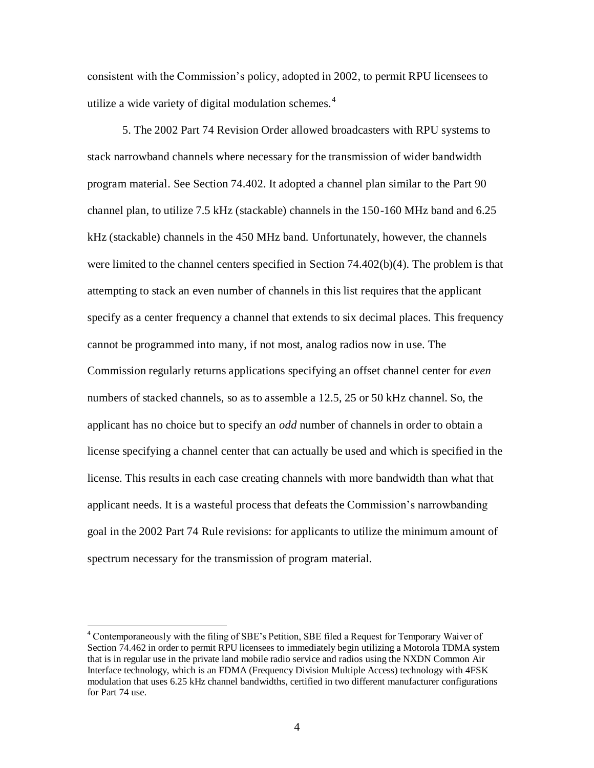consistent with the Commission's policy, adopted in 2002, to permit RPU licensees to utilize a wide variety of digital modulation schemes. $4$ 

5. The 2002 Part 74 Revision Order allowed broadcasters with RPU systems to stack narrowband channels where necessary for the transmission of wider bandwidth program material. See Section 74.402. It adopted a channel plan similar to the Part 90 channel plan, to utilize 7.5 kHz (stackable) channels in the 150-160 MHz band and 6.25 kHz (stackable) channels in the 450 MHz band. Unfortunately, however, the channels were limited to the channel centers specified in Section 74.402(b)(4). The problem is that attempting to stack an even number of channels in this list requires that the applicant specify as a center frequency a channel that extends to six decimal places. This frequency cannot be programmed into many, if not most, analog radios now in use. The Commission regularly returns applications specifying an offset channel center for *even* numbers of stacked channels, so as to assemble a 12.5, 25 or 50 kHz channel. So, the applicant has no choice but to specify an *odd* number of channels in order to obtain a license specifying a channel center that can actually be used and which is specified in the license. This results in each case creating channels with more bandwidth than what that applicant needs. It is a wasteful process that defeats the Commission's narrowbanding goal in the 2002 Part 74 Rule revisions: for applicants to utilize the minimum amount of spectrum necessary for the transmission of program material.

 $\overline{a}$ 

<sup>&</sup>lt;sup>4</sup> Contemporaneously with the filing of SBE's Petition, SBE filed a Request for Temporary Waiver of Section 74.462 in order to permit RPU licensees to immediately begin utilizing a Motorola TDMA system that is in regular use in the private land mobile radio service and radios using the NXDN Common Air Interface technology, which is an FDMA (Frequency Division Multiple Access) technology with 4FSK modulation that uses 6.25 kHz channel bandwidths, certified in two different manufacturer configurations for Part 74 use.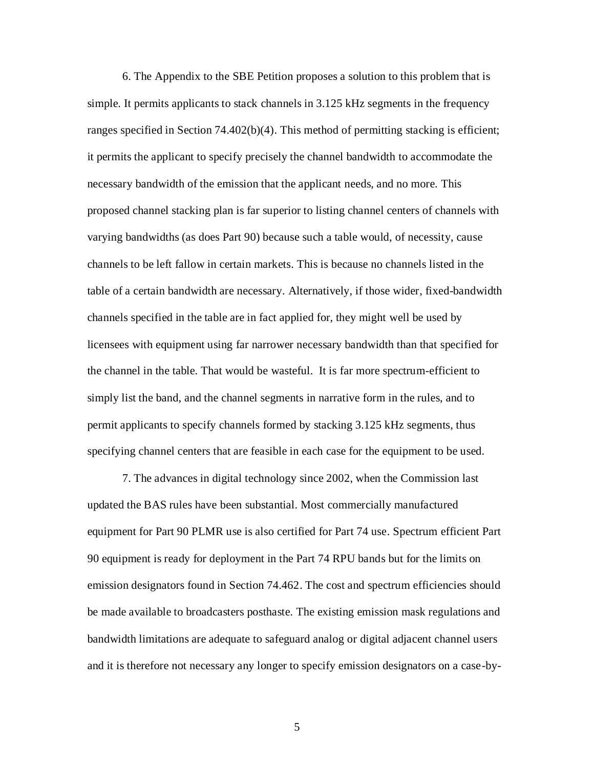6. The Appendix to the SBE Petition proposes a solution to this problem that is simple. It permits applicants to stack channels in 3.125 kHz segments in the frequency ranges specified in Section 74.402(b)(4). This method of permitting stacking is efficient; it permits the applicant to specify precisely the channel bandwidth to accommodate the necessary bandwidth of the emission that the applicant needs, and no more. This proposed channel stacking plan is far superior to listing channel centers of channels with varying bandwidths (as does Part 90) because such a table would, of necessity, cause channels to be left fallow in certain markets. This is because no channels listed in the table of a certain bandwidth are necessary. Alternatively, if those wider, fixed-bandwidth channels specified in the table are in fact applied for, they might well be used by licensees with equipment using far narrower necessary bandwidth than that specified for the channel in the table. That would be wasteful. It is far more spectrum-efficient to simply list the band, and the channel segments in narrative form in the rules, and to permit applicants to specify channels formed by stacking 3.125 kHz segments, thus specifying channel centers that are feasible in each case for the equipment to be used.

7. The advances in digital technology since 2002, when the Commission last updated the BAS rules have been substantial. Most commercially manufactured equipment for Part 90 PLMR use is also certified for Part 74 use. Spectrum efficient Part 90 equipment is ready for deployment in the Part 74 RPU bands but for the limits on emission designators found in Section 74.462. The cost and spectrum efficiencies should be made available to broadcasters posthaste. The existing emission mask regulations and bandwidth limitations are adequate to safeguard analog or digital adjacent channel users and it is therefore not necessary any longer to specify emission designators on a case-by-

5